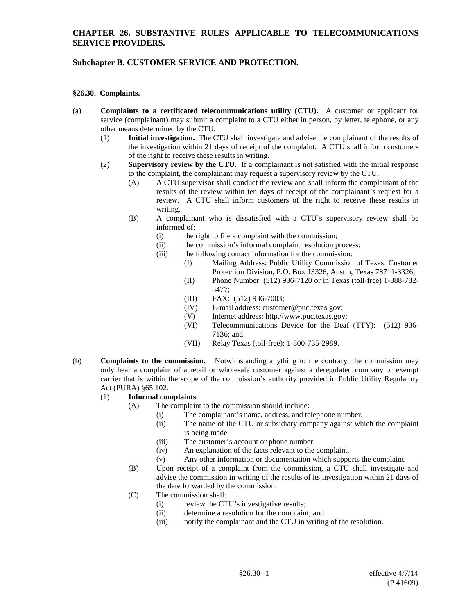### **CHAPTER 26. SUBSTANTIVE RULES APPLICABLE TO TELECOMMUNICATIONS SERVICE PROVIDERS.**

# **Subchapter B. CUSTOMER SERVICE AND PROTECTION.**

#### **§26.30. Complaints.**

- (a) **Complaints to a certificated telecommunications utility (CTU).** A customer or applicant for service (complainant) may submit a complaint to a CTU either in person, by letter, telephone, or any other means determined by the CTU.
	- (1) **Initial investigation.** The CTU shall investigate and advise the complainant of the results of the investigation within 21 days of receipt of the complaint. A CTU shall inform customers of the right to receive these results in writing.
	- (2) **Supervisory review by the CTU.** If a complainant is not satisfied with the initial response to the complaint, the complainant may request a supervisory review by the CTU.
		- (A) A CTU supervisor shall conduct the review and shall inform the complainant of the results of the review within ten days of receipt of the complainant's request for a review. A CTU shall inform customers of the right to receive these results in writing.
		- (B) A complainant who is dissatisfied with a CTU's supervisory review shall be informed of:
			- (i) the right to file a complaint with the commission;
			- (ii) the commission's informal complaint resolution process;
			- (iii) the following contact information for the commission:
				- (I) Mailing Address: Public Utility Commission of Texas, Customer Protection Division, P.O. Box 13326, Austin, Texas 78711-3326;
				- (II) Phone Number: (512) 936-7120 or in Texas (toll-free) 1-888-782- 8477;
				- (III) FAX: (512) 936-7003;
				- (IV) E-mail address: customer@puc.texas.gov;
				- (V) Internet address: http.//www.puc.texas.gov;
				- (VI) Telecommunications Device for the Deaf (TTY): (512) 936- 7136; and
				- (VII) Relay Texas (toll-free): 1-800-735-2989.
- (b) **Complaints to the commission.** Notwithstanding anything to the contrary, the commission may only hear a complaint of a retail or wholesale customer against a deregulated company or exempt carrier that is within the scope of the commission's authority provided in Public Utility Regulatory Act (PURA) §65.102.

#### (1) **Informal complaints.**

- (A) The complaint to the commission should include:
	- (i) The complainant's name, address, and telephone number.
	- (ii) The name of the CTU or subsidiary company against which the complaint is being made.
	- (iii) The customer's account or phone number.
	- (iv) An explanation of the facts relevant to the complaint.
	- (v) Any other information or documentation which supports the complaint.
- (B) Upon receipt of a complaint from the commission, a CTU shall investigate and advise the commission in writing of the results of its investigation within 21 days of the date forwarded by the commission.
- (C) The commission shall:
	- (i) review the CTU's investigative results;
	- (ii) determine a resolution for the complaint; and<br>(iii) notify the complainant and the CTU in writin
	- notify the complainant and the CTU in writing of the resolution.